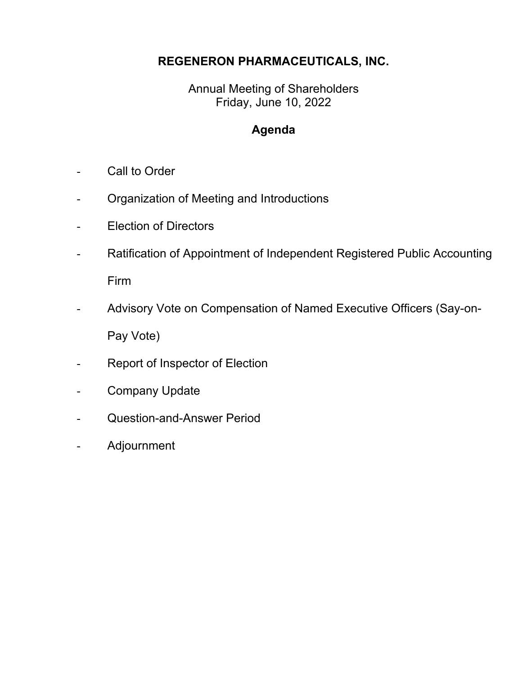## **REGENERON PHARMACEUTICALS, INC.**

Annual Meeting of Shareholders Friday, June 10, 2022

## **Agenda**

- Call to Order
- Organization of Meeting and Introductions
- Election of Directors
- Ratification of Appointment of Independent Registered Public Accounting Firm
- Advisory Vote on Compensation of Named Executive Officers (Say-on-Pay Vote)
- Report of Inspector of Election
- Company Update
- Question-and-Answer Period
- Adjournment